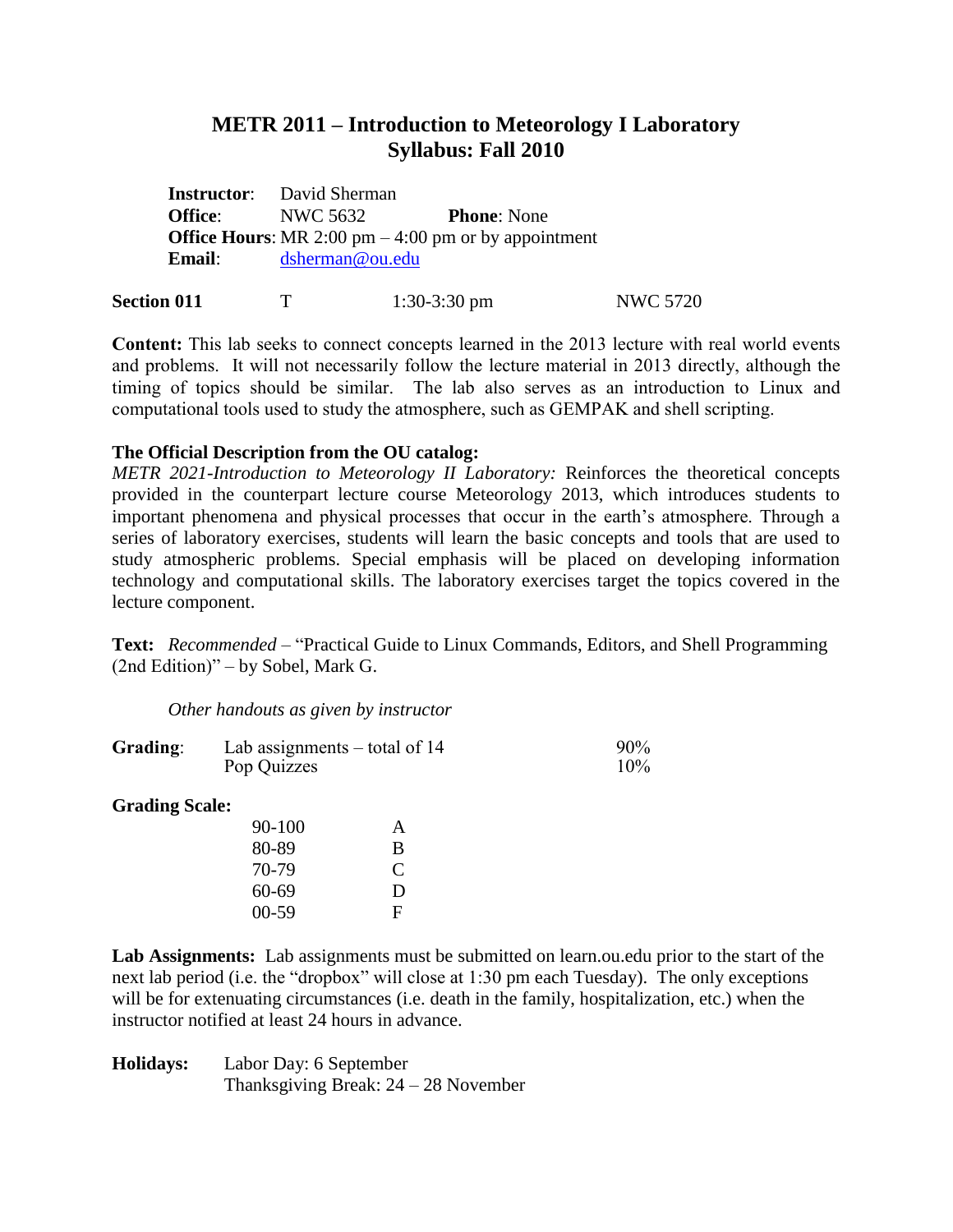## **METR 2011 – Introduction to Meteorology I Laboratory Syllabus: Fall 2010**

|                  | <b>Instructor:</b> David Sherman                              |                    |
|------------------|---------------------------------------------------------------|--------------------|
| Office: NWC 5632 |                                                               | <b>Phone:</b> None |
|                  | <b>Office Hours:</b> MR 2:00 pm $-$ 4:00 pm or by appointment |                    |
| <b>Email:</b>    | dsherman@ou.edu                                               |                    |
|                  |                                                               |                    |

| <b>Section 011</b> |  | $1:30-3:30$ pm | <b>NWC 5720</b> |
|--------------------|--|----------------|-----------------|
|--------------------|--|----------------|-----------------|

**Content:** This lab seeks to connect concepts learned in the 2013 lecture with real world events and problems. It will not necessarily follow the lecture material in 2013 directly, although the timing of topics should be similar. The lab also serves as an introduction to Linux and computational tools used to study the atmosphere, such as GEMPAK and shell scripting.

## **The Official Description from the OU catalog:**

*METR 2021-Introduction to Meteorology II Laboratory:* Reinforces the theoretical concepts provided in the counterpart lecture course Meteorology 2013, which introduces students to important phenomena and physical processes that occur in the earth's atmosphere. Through a series of laboratory exercises, students will learn the basic concepts and tools that are used to study atmospheric problems. Special emphasis will be placed on developing information technology and computational skills. The laboratory exercises target the topics covered in the lecture component.

**Text:** *Recommended* – "Practical Guide to Linux Commands, Editors, and Shell Programming (2nd Edition)" – by Sobel, Mark G.

*Other handouts as given by instructor*

| Grading:              | Lab assignments $-$ total of 14<br>Pop Quizzes |   | 90%<br>10% |
|-----------------------|------------------------------------------------|---|------------|
| <b>Grading Scale:</b> |                                                |   |            |
|                       | 90-100                                         | A |            |
|                       | 80-89                                          | B |            |
|                       | 70-79                                          | C |            |
|                       | 60-69                                          | D |            |
|                       | $00-59$                                        | F |            |
|                       |                                                |   |            |

**Lab Assignments:** Lab assignments must be submitted on learn.ou.edu prior to the start of the next lab period (i.e. the "dropbox" will close at 1:30 pm each Tuesday). The only exceptions will be for extenuating circumstances (i.e. death in the family, hospitalization, etc.) when the instructor notified at least 24 hours in advance.

**Holidays:** Labor Day: 6 September Thanksgiving Break: 24 – 28 November